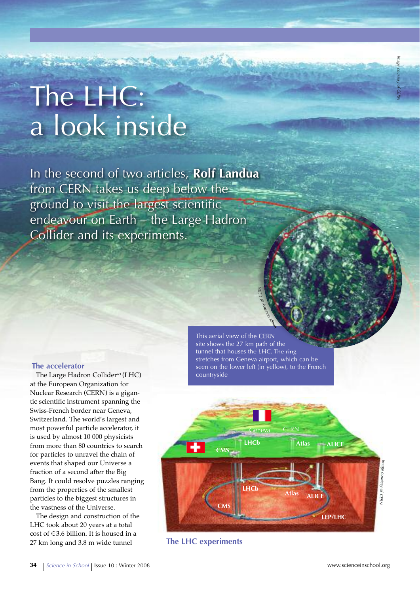# The LHC: a look inside

In the second of two articles, **Rolf Landua** from CERN takes us deep below the ground to visit the largest scientific endeavour on Earth – the Large Hadron Collider and its experiments.

#### **The accelerator**

The Large Hadron Collider<sup>w1</sup> (LHC) at the European Organization for Nuclear Research (CERN) is a gigantic scientific instrument spanning the Swiss-French border near Geneva, Switzerland. The world's largest and most powerful particle accelerator, it is used by almost 10 000 physicists from more than 80 countries to search for particles to unravel the chain of events that shaped our Universe a fraction of a second after the Big Bang. It could resolve puzzles ranging from the properties of the smallest particles to the biggest structures in the vastness of the Universe.

The design and construction of the LHC took about 20 years at a total cost of €3.6 billion. It is housed in a 27 km long and 3.8 m wide tunnel

This aerial view of the CERN site shows the 27 km path of the tunnel that houses the LHC. The ring stretches from Geneva airport, which can be seen on the lower left (in yellow), to the French countryside

*mI age courtesy of CERN*



**The LHC experiments**

*Image*

*courtesy of CERN*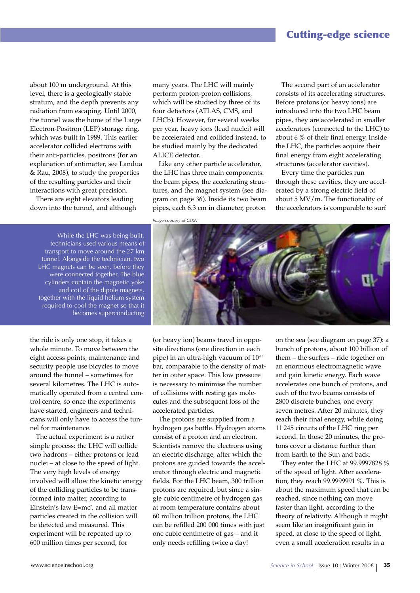about 100 m underground. At this level, there is a geologically stable stratum, and the depth prevents any radiation from escaping. Until 2000, the tunnel was the home of the Large Electron-Positron (LEP) storage ring, which was built in 1989. This earlier accelerator collided electrons with their anti-particles, positrons (for an explanation of antimatter, see Landua & Rau, 2008), to study the properties of the resulting particles and their interactions with great precision.

There are eight elevators leading down into the tunnel, and although many years. The LHC will mainly perform proton-proton collisions, which will be studied by three of its four detectors (ATLAS, CMS, and LHCb). However, for several weeks per year, heavy ions (lead nuclei) will be accelerated and collided instead, to be studied mainly by the dedicated ALICE detector.

Like any other particle accelerator, the LHC has three main components: the beam pipes, the accelerating structures, and the magnet system (see diagram on page 36). Inside its two beam pipes, each 6.3 cm in diameter, proton

*Image courtesy of CERN*

The second part of an accelerator consists of its accelerating structures. Before protons (or heavy ions) are introduced into the two LHC beam pipes, they are accelerated in smaller accelerators (connected to the LHC) to about 6 % of their final energy. Inside the LHC, the particles acquire their final energy from eight accelerating structures (accelerator cavities).

Every time the particles run through these cavities, they are accelerated by a strong electric field of about  $5 \text{ MV/m}$ . The functionality of the accelerators is comparable to surf

While the LHC was being built, technicians used various means of transport to move around the 27 km tunnel. Alongside the technician, two LHC magnets can be seen, before they were connected together. The blue cylinders contain the magnetic yoke and coil of the dipole magnets, together with the liquid helium system required to cool the magnet so that it becomes superconducting

the ride is only one stop, it takes a whole minute. To move between the eight access points, maintenance and security people use bicycles to move around the tunnel – sometimes for several kilometres. The LHC is automatically operated from a central control centre, so once the experiments have started, engineers and technicians will only have to access the tunnel for maintenance.

The actual experiment is a rather simple process: the LHC will collide two hadrons – either protons or lead nuclei – at close to the speed of light. The very high levels of energy involved will allow the kinetic energy of the colliding particles to be transformed into matter, according to Einstein's law E=mc², and all matter particles created in the collision will be detected and measured. This experiment will be repeated up to 600 million times per second, for



(or heavy ion) beams travel in opposite directions (one direction in each pipe) in an ultra-high vacuum of  $10^{-13}$ bar, comparable to the density of matter in outer space. This low pressure is necessary to minimise the number of collisions with resting gas molecules and the subsequent loss of the accelerated particles.

The protons are supplied from a hydrogen gas bottle. Hydrogen atoms consist of a proton and an electron. Scientists remove the electrons using an electric discharge, after which the protons are guided towards the accelerator through electric and magnetic fields. For the LHC beam, 300 trillion protons are required, but since a single cubic centimetre of hydrogen gas at room temperature contains about 60 million trillion protons, the LHC can be refilled 200 000 times with just one cubic centimetre of gas – and it only needs refilling twice a day!

on the sea (see diagram on page 37): a bunch of protons, about 100 billion of them – the surfers – ride together on an enormous electromagnetic wave and gain kinetic energy. Each wave accelerates one bunch of protons, and each of the two beams consists of 2800 discrete bunches, one every seven metres. After 20 minutes, they reach their final energy, while doing 11 245 circuits of the LHC ring per second. In those 20 minutes, the protons cover a distance further than from Earth to the Sun and back.

They enter the LHC at 99.9997828 % of the speed of light. After acceleration, they reach 99.9999991 %. This is about the maximum speed that can be reached, since nothing can move faster than light, according to the theory of relativity. Although it might seem like an insignificant gain in speed, at close to the speed of light, even a small acceleration results in a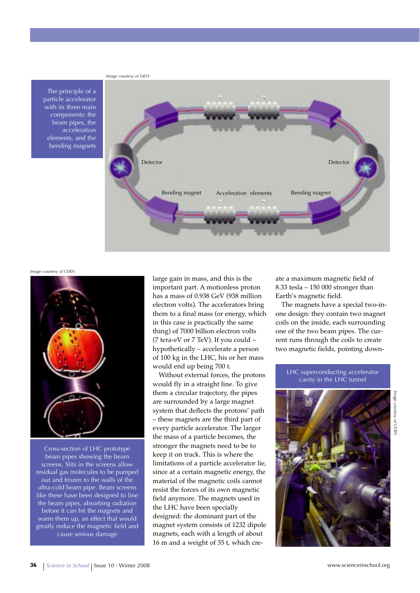

The principle of a particle accelerator with its three main components: the beam pipes, the acceleration elements, and the bending magnets



*Image courtesy of CERN*



Cross-section of LHC prototype beam pipes showing the beam screens. Slits in the screens allow residual gas molecules to be pumped out and frozen to the walls of the ultra-cold beam pipe. Beam screens like these have been designed to line the beam pipes, absorbing radiation before it can hit the magnets and warm them up, an effect that would greatly reduce the magnetic field and cause serious damage

large gain in mass, and this is the important part. A motionless proton has a mass of 0.938 GeV (938 million electron volts). The accelerators bring them to a final mass (or energy, which in this case is practically the same thing) of 7000 billion electron volts (7 tera-eV or 7 TeV). If you could – hypothetically – accelerate a person of 100 kg in the LHC, his or her mass would end up being 700 t.

Without external forces, the protons would fly in a straight line. To give them a circular trajectory, the pipes are surrounded by a large magnet system that deflects the protons' path – these magnets are the third part of every particle accelerator. The larger the mass of a particle becomes, the stronger the magnets need to be to keep it on track. This is where the limitations of a particle accelerator lie, since at a certain magnetic energy, the material of the magnetic coils cannot resist the forces of its own magnetic field anymore. The magnets used in the LHC have been specially designed: the dominant part of the magnet system consists of 1232 dipole magnets, each with a length of about 16 m and a weight of 35 t, which create a maximum magnetic field of 8.33 tesla – 150 000 stronger than Earth's magnetic field.

The magnets have a special two-inone design: they contain two magnet coils on the inside, each surrounding one of the two beam pipes. The current runs through the coils to create two magnetic fields, pointing down-

#### LHC superconducting accelerator cavity in the LHC tunnel

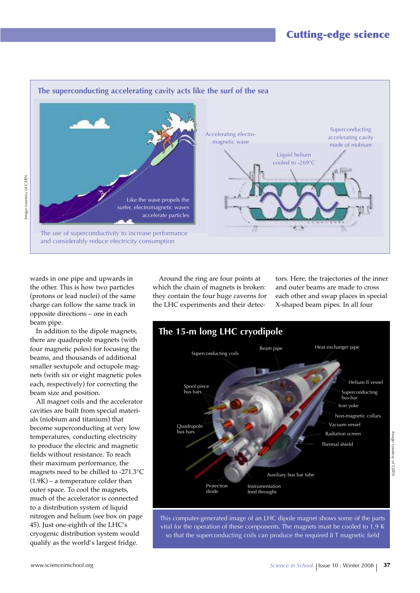

#### **The superconducting accelerating cavity acts like the surf of the sea**

wards in one pipe and upwards in the other. This is how two particles (protons or lead nuclei) of the same charge can follow the same track in opposite directions – one in each

beam pipe. In addition to the dipole magnets, there are quadrupole magnets (with four magnetic poles) for focusing the beams, and thousands of additional smaller sextupole and octupole magnets (with six or eight magnetic poles each, respectively) for correcting the beam size and position.

All magnet coils and the accelerator cavities are built from special materials (niobium and titanium) that become superconducting at very low temperatures, conducting electricity to produce the electric and magnetic fields without resistance. To reach their maximum performance, the magnets need to be chilled to -271.3°C (1.9K) – a temperature colder than outer space. To cool the magnets, much of the accelerator is connected to a distribution system of liquid nitrogen and helium (see box on page 45). Just one-eighth of the LHC's cryogenic distribution system would qualify as the world's largest fridge.

Around the ring are four points at which the chain of magnets is broken: they contain the four huge caverns for the LHC experiments and their detectors. Here, the trajectories of the inner and outer beams are made to cross each other and swap places in special X-shaped beam pipes. In all four



This computer-generated image of an LHC dipole magnet shows some of the parts vital for the operation of these components. The magnets must be cooled to 1.9 K so that the superconducting coils can produce the required 8 T magnetic field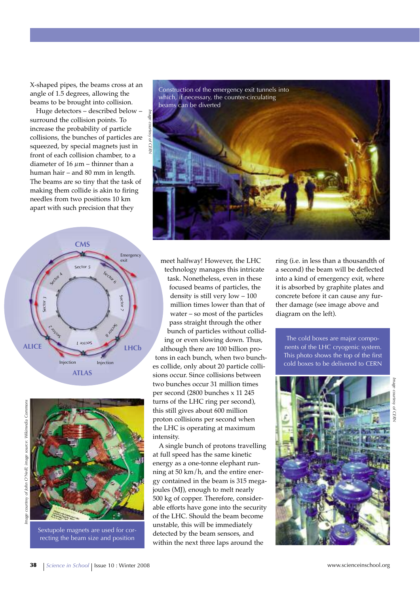X-shaped pipes, the beams cross at an angle of 1.5 degrees, allowing the beams to be brought into collision.

Huge detectors – described below – surround the collision points. To increase the probability of particle collisions, the bunches of particles are squeezed, by special magnets just in front of each collision chamber, to a diameter of  $16 \mu m$  – thinner than a human hair – and 80 mm in length. The beams are so tiny that the task of making them collide is akin to firing needles from two positions 10 km apart with such precision that they





Sextupole magnets are used for correcting the beam size and position



meet halfway! However, the LHC technology manages this intricate task. Nonetheless, even in these focused beams of particles, the density is still very low – 100 million times lower than that of water – so most of the particles pass straight through the other bunch of particles without colliding or even slowing down. Thus, although there are 100 billion protons in each bunch, when two bunches collide, only about 20 particle collisions occur. Since collisions between two bunches occur 31 million times per second (2800 bunches x 11 245 turns of the LHC ring per second), this still gives about 600 million proton collisions per second when the LHC is operating at maximum intensity.

A single bunch of protons travelling at full speed has the same kinetic energy as a one-tonne elephant running at 50 km/h, and the entire energy contained in the beam is 315 megajoules (MJ), enough to melt nearly 500 kg of copper. Therefore, considerable efforts have gone into the security of the LHC. Should the beam become unstable, this will be immediately detected by the beam sensors, and within the next three laps around the

ring (i.e. in less than a thousandth of a second) the beam will be deflected into a kind of emergency exit, where it is absorbed by graphite plates and concrete before it can cause any further damage (see image above and diagram on the left).

The cold boxes are major components of the LHC cryogenic system. This photo shows the top of the first cold boxes to be delivered to CERN

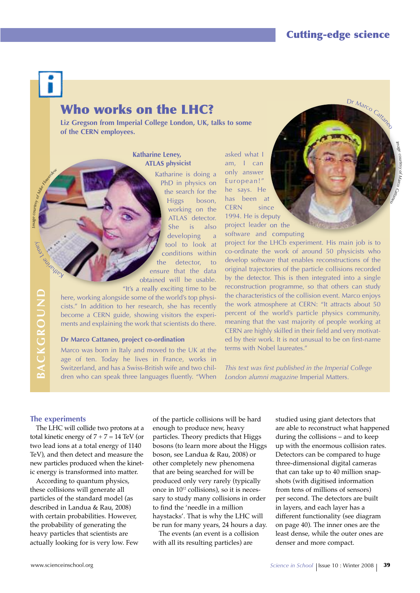Dr Marco Cattane

*Image couresy of Marco*

*Cattaneo*

# Who works on the LHC?

**Liz Gregson from Imperial College London, UK, talks to some of the CERN employees.**

#### **Katharine Leney, ATLAS physicist**

Katharine is doing a PhD in physics on the search for the Higgs boson, working on the ATLAS detector. She is also developing a tool to look at conditions within the detector, to ensure that the data obtained will be usable. "It's a really exciting time to be

here, working alongside some of the world's top physicists." In addition to her research, she has recently become a CERN guide, showing visitors the experiments and explaining the work that scientists do there.

#### **Dr Marco Cattaneo, project co-ordination**

Marco was born in Italy and moved to the UK at the age of ten. Today he lives in France, works in Switzerland, and has a Swiss-British wife and two children who can speak three languages fluently. "When

asked what I am, I can only answer European! " he says. He has been at CERN since 1994. He is deputy project leader on the software and computing

project for the LHCb experiment. His main job is to co-ordinate the work of around 50 physicists who develop software that enables reconstructions of the original trajectories of the particle collisions recorded by the detector. This is then integrated into a single reconstruction programme, so that others can study the characteristics of the collision event. Marco enjoys the work atmosphere at CERN: "It attracts about 50 percent of the world's particle physics community, meaning that the vast majority of people working at CERN are highly skilled in their field and very motivated by their work. It is not unusual to be on first-name terms with Nobel laureates."

*This text was first published in the Imperial College London alumni magazine* Imperial Matters.

#### **The experiments**

The LHC will collide two protons at a total kinetic energy of  $7 + 7 = 14$  TeV (or two lead ions at a total energy of 1140 TeV), and then detect and measure the new particles produced when the kinetic energy is transformed into matter.

According to quantum physics, these collisions will generate all particles of the standard model (as described in Landua & Rau, 2008) with certain probabilities. However, the probability of generating the heavy particles that scientists are actually looking for is very low. Few of the particle collisions will be hard enough to produce new, heavy particles. Theory predicts that Higgs bosons (to learn more about the Higgs boson, see Landua & Rau, 2008) or other completely new phenomena that are being searched for will be produced only very rarely (typically once in  $10^{12}$  collisions), so it is necessary to study many collisions in order to find the 'needle in a million haystacks'. That is why the LHC will be run for many years, 24 hours a day.

The events (an event is a collision with all its resulting particles) are

studied using giant detectors that are able to reconstruct what happened during the collisions – and to keep up with the enormous collision rates. Detectors can be compared to huge three-dimensional digital cameras that can take up to 40 million snapshots (with digitised information from tens of millions of sensors) per second. The detectors are built in layers, and each layer has a different functionality (see diagram on page 40). The inner ones are the least dense, while the outer ones are denser and more compact.

kavan a

Image countesy or Material Property

**Hey** ar ni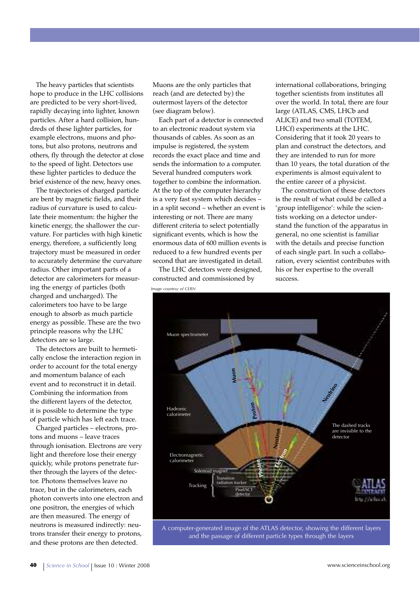The heavy particles that scientists hope to produce in the LHC collisions are predicted to be very short-lived, rapidly decaying into lighter, known particles. After a hard collision, hundreds of these lighter particles, for example electrons, muons and photons, but also protons, neutrons and others, fly through the detector at close to the speed of light. Detectors use these lighter particles to deduce the brief existence of the new, heavy ones.

The trajectories of charged particle are bent by magnetic fields, and their radius of curvature is used to calculate their momentum: the higher the kinetic energy, the shallower the curvature. For particles with high kinetic energy, therefore, a sufficiently long trajectory must be measured in order to accurately determine the curvature radius. Other important parts of a detector are calorimeters for measuring the energy of particles (both charged and uncharged). The calorimeters too have to be large enough to absorb as much particle energy as possible. These are the two principle reasons why the LHC detectors are so large.

The detectors are built to hermetically enclose the interaction region in order to account for the total energy and momentum balance of each event and to reconstruct it in detail. Combining the information from the different layers of the detector, it is possible to determine the type of particle which has left each trace.

Charged particles – electrons, protons and muons – leave traces through ionisation. Electrons are very light and therefore lose their energy quickly, while protons penetrate further through the layers of the detector. Photons themselves leave no trace, but in the calorimeters, each photon converts into one electron and one positron, the energies of which are then measured. The energy of neutrons is measured indirectly: neutrons transfer their energy to protons, and these protons are then detected.

Muons are the only particles that reach (and are detected by) the outermost layers of the detector (see diagram below).

Each part of a detector is connected to an electronic readout system via thousands of cables. As soon as an impulse is registered, the system records the exact place and time and sends the information to a computer. Several hundred computers work together to combine the information. At the top of the computer hierarchy is a very fast system which decides – in a split second – whether an event is interesting or not. There are many different criteria to select potentially significant events, which is how the enormous data of 600 million events is reduced to a few hundred events per second that are investigated in detail.

The LHC detectors were designed, constructed and commissioned by

international collaborations, bringing together scientists from institutes all over the world. In total, there are four large (ATLAS, CMS, LHCb and ALICE) and two small (TOTEM, LHCf) experiments at the LHC. Considering that it took 20 years to plan and construct the detectors, and they are intended to run for more than 10 years, the total duration of the experiments is almost equivalent to the entire career of a physicist.

The construction of these detectors is the result of what could be called a 'group intelligence': while the scientists working on a detector understand the function of the apparatus in general, no one scientist is familiar with the details and precise function of each single part. In such a collaboration, every scientist contributes with his or her expertise to the overall success.

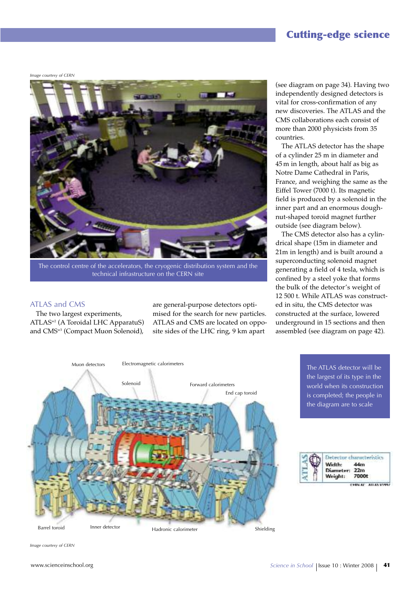### Cutting-edge science

*Image courtesy of CERN*



The control centre of the accelerators, the cryogenic distribution system and the technical infrastructure on the CERN site

#### ATLAS and CMS

The two largest experiments, ATLASw2 (A Toroidal LHC ApparatuS) and CMS<sup>w3</sup> (Compact Muon Solenoid),

are general-purpose detectors optimised for the search for new particles. ATLAS and CMS are located on opposite sides of the LHC ring, 9 km apart

(see diagram on page 34). Having two independently designed detectors is vital for cross-confirmation of any new discoveries. The ATLAS and the CMS collaborations each consist of more than 2000 physicists from 35 countries.

The ATLAS detector has the shape of a cylinder 25 m in diameter and 45 m in length, about half as big as Notre Dame Cathedral in Paris, France, and weighing the same as the Eiffel Tower (7000 t). Its magnetic field is produced by a solenoid in the inner part and an enormous doughnut-shaped toroid magnet further outside (see diagram below).

The CMS detector also has a cylindrical shape (15m in diameter and 21m in length) and is built around a superconducting solenoid magnet generating a field of 4 tesla, which is confined by a steel yoke that forms the bulk of the detector's weight of 12 500 t. While ATLAS was constructed in situ, the CMS detector was constructed at the surface, lowered underground in 15 sections and then assembled (see diagram on page 42).



The ATLAS detector will be the largest of its type in the world when its construction is completed; the people in the diagram are to scale



*Image courtesy of CERN*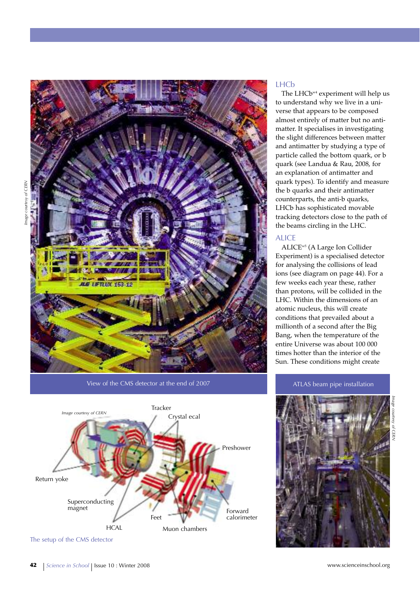

View of the CMS detector at the end of 2007



The setup of the CMS detector

#### LHCb

The LHCb<sup>w4</sup> experiment will help us to understand why we live in a universe that appears to be composed almost entirely of matter but no antimatter. It specialises in investigating the slight differences between matter and antimatter by studying a type of particle called the bottom quark, or b quark (see Landua & Rau, 2008, for an explanation of antimatter and quark types). To identify and measure the b quarks and their antimatter counterparts, the anti-b quarks, LHCb has sophisticated movable tracking detectors close to the path of the beams circling in the LHC.

#### ALICE

ALICEw5 (A Large Ion Collider Experiment) is a specialised detector for analysing the collisions of lead ions (see diagram on page 44). For a few weeks each year these, rather than protons, will be collided in the LHC. Within the dimensions of an atomic nucleus, this will create conditions that prevailed about a millionth of a second after the Big Bang, when the temperature of the entire Universe was about 100 000 times hotter than the interior of the Sun. These conditions might create

#### ATLAS beam pipe installation

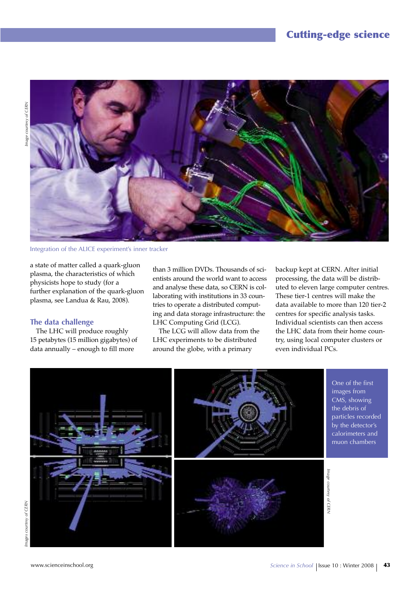## Cutting-edge science



Integration of the ALICE experiment's inner tracker

a state of matter called a quark-gluon plasma, the characteristics of which physicists hope to study (for a further explanation of the quark-gluon plasma, see Landua & Rau, 2008).

#### **The data challenge**

The LHC will produce roughly 15 petabytes (15 million gigabytes) of data annually – enough to fill more

than 3 million DVDs. Thousands of scientists around the world want to access and analyse these data, so CERN is collaborating with institutions in 33 countries to operate a distributed computing and data storage infrastructure: the LHC Computing Grid (LCG).

The LCG will allow data from the LHC experiments to be distributed around the globe, with a primary

backup kept at CERN. After initial processing, the data will be distributed to eleven large computer centres. These tier-1 centres will make the data available to more than 120 tier-2 centres for specific analysis tasks. Individual scientists can then access the LHC data from their home country, using local computer clusters or even individual PCs.

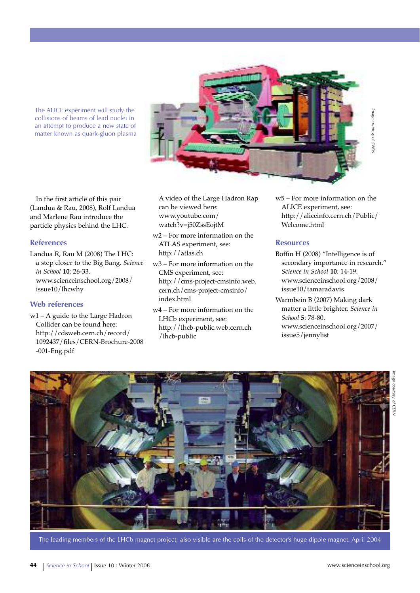The ALICE experiment will study the collisions of beams of lead nuclei in an attempt to produce a new state of matter known as quark-gluon plasma



In the first article of this pair (Landua & Rau, 2008), Rolf Landua and Marlene Rau introduce the particle physics behind the LHC.

#### **References**

Landua R, Rau M (2008) The LHC: a step closer to the Big Bang. *Science in School* **10**: 26-33. www.scienceinschool.org/2008/ issue10/lhcwhy

#### **Web references**

w1 – A guide to the Large Hadron Collider can be found here: http://cdsweb.cern.ch/record/ 1092437/files/CERN-Brochure-2008 -001-Eng.pdf

- A video of the Large Hadron Rap can be viewed here: www.youtube.com/ watch?v=j50ZssEojtM
- w2 For more information on the ATLAS experiment, see: http://atlas.ch
- w3 For more information on the CMS experiment, see: http://cms-project-cmsinfo.web. cern.ch/cms-project-cmsinfo/ index.html
- w4 For more information on the LHCb experiment, see: http://lhcb-public.web.cern.ch /lhcb-public

w5 – For more information on the ALICE experiment, see: http://aliceinfo.cern.ch/Public/ Welcome.html

#### **Resources**

- Boffin H (2008) "Intelligence is of secondary importance in research." *Science in School* **10**: 14-19. www.scienceinschool.org/2008/ issue10/tamaradavis
- Warmbein B (2007) Making dark matter a little brighter. *Science in School* **5**: 78-80. www.scienceinschool.org/2007/ issue5/jennylist



The leading members of the LHCb magnet project; also visible are the coils of the detector's huge dipole magnet. April 2004